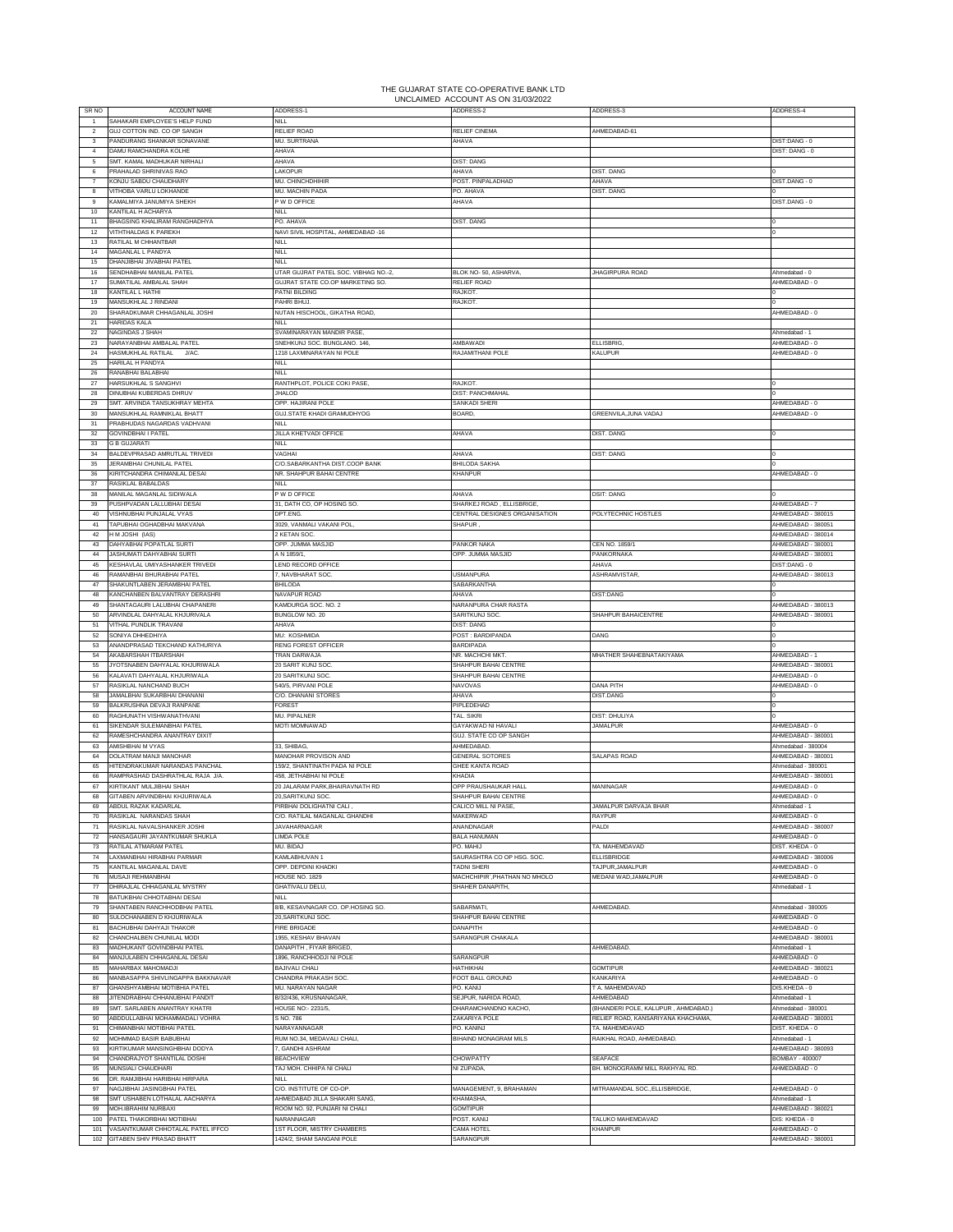## THE GUJARAT STATE CO-OPERATIVE BANK LTD UNCLAIMED ACCOUNT AS ON 31/03/2022

| SR <sub>NO</sub>                           | ACCOUNT NAME                                                       | ADDRESS-1                                                | ADDRESS-2                                    | ADDRESS-3                                        | ADDRESS-4                                |
|--------------------------------------------|--------------------------------------------------------------------|----------------------------------------------------------|----------------------------------------------|--------------------------------------------------|------------------------------------------|
| $\overline{1}$<br>$\overline{\phantom{a}}$ | SAHAKARI EMPLOYEE'S HELP FUND<br>GILL COTTON IND CO OP SANGH       | NILL<br>RELIEF ROAD                                      | <b>RELIEF CINEMA</b>                         | AHMEDARAD.61                                     |                                          |
| 3                                          | PANDURANG SHANKAR SONAVANE                                         | MU. SURTRANA                                             | AHAVA                                        |                                                  | DIST:DANG - 0                            |
| 4                                          | DAMU RAMCHANDRA KOLHE                                              | AHAVA                                                    |                                              |                                                  | DIST: DANG - 0                           |
| 5                                          | SMT. KAMAL MADHUKAR NIRHALI                                        | AHAVA                                                    | <b>DIST: DANG</b>                            |                                                  |                                          |
| 6<br>$\overline{7}$                        | PRAHALAD SHRINIVAS RAO<br>KONJU SABDU CHAUDHARY                    | LAKOPUR                                                  | AHAVA                                        | DIST. DANG<br>AHAVA                              | DIST.DANG - 0                            |
| 8                                          | VITHOBA VARLU LOKHANDE                                             | MU. CHINCHDHIHIR<br>MU. MACHIN PADA                      | POST. PINPALADHAD<br>PO. AHAVA               | DIST. DANG                                       |                                          |
| $\mathbf{Q}$                               | KAMALMIYA JANUMIYA SHEKH                                           | P W D OFFICE                                             | AHAVA                                        |                                                  | DIST.DANG - 0                            |
| 10                                         | KANTILAL H ACHARYA                                                 | NILL                                                     |                                              |                                                  |                                          |
| 11                                         | BHAGSING KHALIRAM RANGHADHYA                                       | PO, AHAVA                                                | <b>DIST. DANG</b>                            |                                                  |                                          |
| 12<br>13                                   | VITHTHALDAS K PAREKH<br>RATILAL M CHHANTBAR                        | NAVI SIVIL HOSPITAL, AHMEDABAD -16<br><b>NILL</b>        |                                              |                                                  |                                          |
| 14                                         | MAGANLAL L PANDYA                                                  | <b>NILL</b>                                              |                                              |                                                  |                                          |
| 15                                         | DHANJIBHAI JIVABHAI PATEL                                          | NII I                                                    |                                              |                                                  |                                          |
| 16                                         | SENDHABHAI MANILAL PATEL                                           | UTAR GUJRAT PATEL SOC. VIBHAG NO .- 2,                   | BLOK NO- 50, ASHARVA,                        | JHAGIRPURA ROAD                                  | Ahmedabad - 0                            |
| 17<br>18                                   | SUMATILAL AMBALAL SHAH<br>KANTILAL L HATHI                         | GUJRAT STATE CO.OP MARKETING SO.<br>PATNI BILDING        | RELIEF ROAD<br><b>RAJKOT</b>                 |                                                  | AHMEDABAD - 0                            |
| 19                                         | MANSUKHLAL J RINDANI                                               | PAHRI BHUJ.                                              | RAJKOT                                       |                                                  |                                          |
| 20                                         | SHARADKUMAR CHHAGANLAL JOSHI                                       | NUTAN HISCHOOL, GIKATHA ROAD.                            |                                              |                                                  | AHMEDABAD - 0                            |
| 21                                         | <b>HARIDAS KALA</b>                                                | NILL.                                                    |                                              |                                                  |                                          |
| 22<br>23                                   | NAGINDAS J SHAH<br>NARAYANBHAI AMBALAL PATEL                       | SVAMINARAYAN MANDIR PASE<br>SNEHKUNJ SOC. BUNGLANO. 146, | <b>MBAWADI</b>                               | ELLISBRIG,                                       | Ahmedabad - 1<br>AHMEDABAD - 0           |
| 24                                         | HASMUKHLAL RATILAL<br>J/AC.                                        | 1218 LAXMINARAYAN NI POLE                                | RAJAMITHANI POLE                             | KALUPUR                                          | AHMEDABAD - 0                            |
| 25                                         | HARILAL H PANDYA                                                   | <b>NILL</b>                                              |                                              |                                                  |                                          |
| 26                                         | RANABHAI BALABHAI                                                  | NILL                                                     |                                              |                                                  |                                          |
| 27<br>28                                   | HARSUKHLAL S SANGHVI<br>DINUBHAI KUBERDAS DHRUV                    | RANTHPLOT, POLICE COKI PASE,<br><b>JHALOD</b>            | RAJKOT.<br>DIST: PANCHMAHAL                  |                                                  |                                          |
| 29                                         | <b>SMT. ARVINDA TANSUKHRAY MEHTA</b>                               | OPP. HAJIRANI POLE                                       | SANKADI SHERI                                |                                                  | AHMEDABAD - 0                            |
| 30                                         | MANSUKHLAL RAMNIKLAL BHATT                                         | <b>GUJ.STATE KHADI GRAMUDHYOG</b>                        | BOARD,                                       | GREENVILA, JUNA VADAJ                            | AHMEDABAD - 0                            |
| 31                                         | PRABHUDAS NAGARDAS VADHVANI                                        | <b>NILL</b>                                              |                                              |                                                  |                                          |
| 32<br>33                                   | <b>GOVINDBHAI I PATEL</b><br><b>G B GUJARATI</b>                   | JILLA KHETVADI OFFICE<br><b>NILL</b>                     | AHAVA                                        | <b>DIST DANG</b>                                 |                                          |
| 34                                         | BALDEVPRASAD AMRUTLAL TRIVEDI                                      | VAGHAI                                                   | AHAVA                                        | <b>DIST: DANG</b>                                |                                          |
| 35                                         | JERAMBHAI CHUNILAL PATEL                                           | C/O.SABARKANTHA DIST.COOP BANK                           | BHILODA SAKHA                                |                                                  |                                          |
| 36                                         | KIRITCHANDRA CHIMANLAL DESAI                                       | NR. SHAHPUR BAHAI CENTRE                                 | KHANPUR                                      |                                                  | AHMEDABAD - 0                            |
| 37                                         | RASIKLAL BABALDAS                                                  | NII I                                                    | AHAVA                                        |                                                  |                                          |
| 38<br>39                                   | MANILAL MAGANLAL SIDIWALA<br>PUSHPVADAN LALLUBHAI DESAI            | P W D OFFICE<br>31, DATH CO, OP HOSING SO.               | SHARKEJ ROAD, ELLISBRIGE                     | <b>DSIT: DANG</b>                                | AHMEDABAD - 7                            |
| 40                                         | VISHNURHAI PUNJALAI VYAS                                           | DPT.ENG                                                  | CENTRAL DESIGNES ORGANISATION                | POLYTECHNIC HOSTLES                              | AHMEDABAD - 380015                       |
| 41                                         | TAPUBHAI OGHADBHAI MAKVANA                                         | 8029, VANMALI VAKANI POL                                 | SHAPUR                                       |                                                  | AHMEDABAD - 380051                       |
| 42                                         | H M JOSHI (IAS)<br>DAHYABHAI POPATLAL SURTI                        | 2 KETAN SOC.                                             |                                              |                                                  | AHMEDABAD - 380014                       |
| 43<br>44                                   | JASHUMATI DAHYABHAI SURTI                                          | OPP. JUMMA MASJID<br>A N 1859/1,                         | PANKOR NAKA<br>OPP. JUMMA MASJID             | CEN NO. 1859/1<br>PANKORNAKA                     | AHMEDABAD - 380001<br>AHMEDABAD - 380001 |
| 45                                         | KESHAVLAL UMIYASHANKER TRIVEDI                                     | LEND RECORD OFFICE                                       |                                              | AHAVA                                            | DIST:DANG - 0                            |
| 46                                         | RAMANBHAI BHURABHAI PATEL                                          | 7, NAVBHARAT SOC.                                        | <b>USMANPURA</b>                             | ASHRAMVISTAR,                                    | AHMEDABAD - 380013                       |
| 47                                         | SHAKUNTLABEN JERAMBHAI PATEL                                       | <b>BHILODA</b>                                           | SABARKANTHA                                  |                                                  |                                          |
| 48<br>49                                   | (ANCHANBEN BALVANTRAY DERASHRI<br>SHANTAGAURI LALUBHAI CHAPANERI   | NAVAPUR ROAD<br>KAMDURGA SOC. NO. 2                      | AHAVA<br>NARANPURA CHAR RASTA                | <b>DIST:DANG</b>                                 | AHMEDABAD - 380013                       |
| 50                                         | ARVINDLAL DAHYALAL KHJURIVALA                                      | BUNGLOW NO. 20                                           | SARITKUNJ SOC.                               | SHAHPUR BAHAICENTRE                              | AHMEDABAD - 380001                       |
| 51                                         | VITHAL PUNDLIK TRAVANI                                             | AHAVA                                                    | <b>DIST: DANG</b>                            |                                                  |                                          |
| 52                                         | SONIYA DHHEDHIYA                                                   |                                                          |                                              |                                                  |                                          |
|                                            |                                                                    | MU: KOSHMIDA                                             | POST: BARDIPANDA                             | DANG                                             |                                          |
| 53                                         | ANANDPRASAD TEKCHAND KATHURIYA                                     | RENG FOREST OFFICER                                      | <b>BARDIPADA</b>                             |                                                  |                                          |
| 54<br>55                                   | AKABARSHAH ITBARSHAH<br>JYOTSNABEN DAHYALAL KHJURIWALA             | <b>TRAN DARWAJA</b><br>20 SARIT KUNJ SOC                 | NR. MACHCHI MKT<br>SHAHPUR BAHAI CENTRE      | MHATHER SHAHEBNATAKIYAMA                         | AHMEDABAD - 1<br>AHMEDABAD - 380001      |
| 56                                         | KALAVATI DAHYALAL KHJURIWALA                                       | 20 SARITKUNJ SOC.                                        | SHAHPUR BAHAI CENTRE                         |                                                  | AHMEDABAD - 0                            |
| 57                                         | RASIKLAL NANCHAND BUCH                                             | 540/5, PIRVANI POLE                                      | NAVOVAS                                      | DANA PITH                                        | AHMEDABAD - 0                            |
| 58                                         | JAMALBHAI SUKARBHAI DHANANI                                        | C/O. DHANANI STORES                                      | AHAVA                                        | <b>DIST.DANG</b>                                 |                                          |
| 59<br>60                                   | BALKRUSHNA DEVAJI RANPANE<br>RAGHUNATH VISHWANATHVANI              | FOREST<br>MU. PIPALNER                                   | PIPLEDEHAD<br>TAL, SIKRI                     | DIST: DHULIYA                                    |                                          |
| 61                                         | SIKENDAR SULEMANBHAI PATEL                                         | MOTI MOMNAWAD                                            | GAYAKWAD NI HAVAL                            | <b>JAMALPUR</b>                                  | AHMEDABAD - 0                            |
| 62                                         | RAMESHCHANDRA ANANTRAY DIXIT                                       |                                                          | GUJ. STATE CO OP SANGH                       |                                                  | AHMEDABAD - 380001                       |
| 63<br>64                                   | AMISHBHAI M VYAS<br>DOLATRAM MANJI MANOHAR                         | 33. SHIBAG<br>MANOHAR PROVISON AND                       | AHMEDABAD<br><b>GENERAL SOTORES</b>          | SALAPAS ROAD                                     | Ahmedabad - 380004<br>AHMEDABAD - 380001 |
| 65                                         | HITENDRAKUMAR NARANDAS PANCHAL                                     | 159/2, SHANTINATH PADA NI POLE                           | GHEE KANTA ROAD                              |                                                  | Ahmedabad - 380001                       |
| 66                                         | AMPRASHAD DASHRATHLAL RAJA J/A.                                    | 58, JETHABHAI NI POLE                                    | <b>CHADIA</b>                                |                                                  | HMEDABAD - 380001                        |
| 67                                         | KIRTIKANT MULJIBHAI SHAH                                           | 20 JALARAM PARK, BHAIRAVNATH RD<br>20 SARITKUNJ SOC      | OPP PRAUSHAUKAR HALL<br>SHAHPUR BAHAI CENTRE | MANINAGAR                                        | AHMEDABAD - 0<br>AHMEDABAD - 0           |
| 68                                         | GITABEN ARVINDBHAI KHJURIWALA<br>ABDUL RAZAK KADARLAL              | PIRBHAI DOLIGHATNI CALI                                  | CALICO MILL NI PASE                          | JAMALPUR DARVAJA BHAR                            | Ahmedabad - 1                            |
| 70                                         | RASIKLAL NARANDAS SHAH                                             | C/O. RATILAL MAGANLAL GHANDHI                            | MAKERWAD                                     | <b>RAYPUR</b>                                    | AHMEDABAD - 0                            |
| 71                                         | RASIKLAL NAVALSHANKER JOSHI                                        | JAVAHARNAGAR                                             | ANANDNAGAR                                   | PALDI                                            | AHMEDABAD - 380007                       |
| 72                                         | HANSAGAURI JAYANTKUMAR SHUKLA                                      | <b>LIMDA POLE</b>                                        | <b>BALA HANUMAN</b>                          |                                                  | AHMEDABAD - 0                            |
| 73<br>74                                   | RATILAL ATMARAM PATEL<br>LAXMANBHAI HIRABHAI PARMAR                | MU, BIDAJ<br>KAMLABHUVAN 1                               | PO. MAHIJ<br>SAURASHTRA CO OP HSG. SOC.      | TA. MAHEMDAVAD<br><b>ELLISBRIDGE</b>             | DIST. KHEDA - 0<br>AHMEDABAD - 380006    |
| 75                                         | KANTILAL MAGANLAL DAVE                                             | OPP. DEPDINI KHADKI                                      | <b>TADNI SHERI</b>                           | TAJPUR, JAMALPUR                                 | AHMEDABAD - 0                            |
| 76                                         | MUSAJI REHMANBHAI                                                  | <b>HOUSE NO. 1829</b>                                    | MACHCHIPIR`, PHATHAN NO MHOLO                | MEDANI WAD, JAMALPUR                             | AHMEDABAD - 0                            |
| 77                                         | DHIRAJLAL CHHAGANLAL MYSTRY                                        | <b>GHATIVALU DELU,</b><br>NILL                           | SHAHER DANAPITH,                             |                                                  | Ahmedabad - 1                            |
| 78<br>79                                   | BATUKBHAI CHHOTABHAI DESAI<br>SHANTABEN RANCHHODBHAI PATEL         | 8/B, KESAVNAGAR CO. OP.HOSING SO.                        | SABARMATI,                                   | AHMEDABAD.                                       | Ahmedabad - 380005                       |
| 80                                         | SULOCHANABEN D KHJURIWALA                                          | 20,SARITKUNJ SOC.                                        | SHAHPUR BAHAI CENTRE                         |                                                  | AHMEDABAD - 0                            |
| 81                                         | BACHUBHAI DAHYAJI THAKOR                                           | <b>FIRE BRIGADE</b>                                      | DANAPITH                                     |                                                  | AHMEDABAD - 0                            |
| 82<br>83                                   | CHANCHALBEN CHUNILAL MODI                                          | 1955, KESHAV BHAVAN                                      | SARANGPUR CHAKALA                            | AHMEDABAD.                                       | AHMEDABAD - 380001<br>Ahmedahad - 1      |
| 84                                         | MADHUKANT GOVINDBHAI PATEL<br>MANJULABEN CHHAGANLAL DESAI          | DANAPITH, FIYAR BRIGED,<br>1896, RANCHHODJI NI POLE      | SARANGPUR                                    |                                                  | AHMEDABAD - 0                            |
| 85                                         | MAHARBAX MAHOMADJI                                                 | <b>BAJIVALI CHALI</b>                                    | HATHIKHAI                                    | GOMTIPUR                                         | AHMEDABAD - 380021                       |
| 86                                         | MANBASAPPA SHIVLINGAPPA BAKKNAVAR                                  | CHANDRA PRAKASH SOC                                      | FOOT BALL GROUND                             | KANKARIYA                                        | AHMEDABAD - 0                            |
| 87                                         | GHANSHYAMBHAI MOTIBHIA PATEL                                       | MU. NARAYAN NAGAR                                        | PO. KANIJ                                    | T A. MAHEMDAVAD                                  | DIS.KHEDA - 0                            |
| 88<br>89                                   | JITENDRABHAI CHHANUBHAI PANDIT<br>SMT. SARLABEN ANANTRAY KHATRI    | B/32/436, KRUSNANAGAR,<br>HOUSE NO:- 2231/5,             | SEJPUR, NARIDA ROAD,<br>DHARAMCHANDNO KACHO, | AHMEDABAD<br>(BHANDERI POLE, KALUPUR, AHMDABAD.) | Ahmedabad - 1<br>Ahmedabad - 380001      |
| 90                                         | ABDDULLABHAI MOHAMMADALI VOHRA                                     | S NO. 786                                                | ZAKARIYA POLE                                | RELIEF ROAD, KANSARIYANA KHACHAMA,               | AHMEDABAD - 380001                       |
| 91                                         | CHIMANBHAI MOTIBHAI PATEL                                          | VARAYANNAGAR                                             | PO. KANINJ                                   | TA. MAHEMDAVAD                                   | DIST. KHEDA - 0                          |
| 92                                         | MOHMMAD BASIR BABUBHAI                                             | RUM NO.34, MEDAVALI CHALI.                               | <b>BIHAIND MONAGRAM MILS</b>                 | RAIKHAL ROAD, AHMEDABAD.                         | Ahmedabad - 1                            |
| 93<br>94                                   | KIRTIKUMAR MANSINGHBHAI DODYA<br>CHANDRAJYOT SHANTILAL DOSHI       | , GANDHI ASHRAM<br><b>BEACHVIEW</b>                      | <b>CHOWPATTY</b>                             | SEAFACE                                          | AHMEDABAD - 380093<br>BOMBAY - 400007    |
| 95                                         | MUNSIALI CHAUDHARI                                                 | TAJ MOH. CHHIPA NI CHALI                                 | NI ZUPADA,                                   | BH. MONOGRAMM MILL RAKHYAL RD.                   | AHMEDABAD - 0                            |
| 96                                         | DR. RAMJIBHAI HARIBHAI HIRPARA                                     | <b>NILL</b>                                              |                                              |                                                  |                                          |
| 97                                         | NAGJIBHAI JASINGBHAI PATEL                                         | C/O. INSTITUTE OF CO-OP.                                 | MANAGEMENT, 9, BRAHAMAN                      | MITRAMANDAL SOC., ELLISBRIDGE,                   | AHMEDABAD - 0                            |
| 98<br>99                                   | SMT USHABEN LOTHALAL AACHARYA<br>MOH.IBRAHIM NURBAXI               | AHMEDABAD JILLA SHAKARI SANG,                            | KHAMASHA.<br><b>GOMTIPUR</b>                 |                                                  | Ahmedabad - 1                            |
| 100                                        | PATEL THAKORBHAI MOTIBHAI                                          | ROOM NO. 92, PUNJARI NI CHALI<br>NARANNAGAR              | POST. KANIJ                                  | TALUKO MAHEMDAVAD                                | AHMEDABAD - 380021<br>DIS: KHEDA - 0     |
| 101                                        | VASANTKUMAR CHHOTALAL PATEL IFFCO<br>102 GITABEN SHIV PRASAD BHATT | 1ST FLOOR, MISTRY CHAMBERS<br>1424/2, SHAM SANGANI POLE  | CAMA HOTEL<br>SARANGPUR                      | <b>KHANPUR</b>                                   | AHMEDABAD - 0<br>AHMEDABAD - 380001      |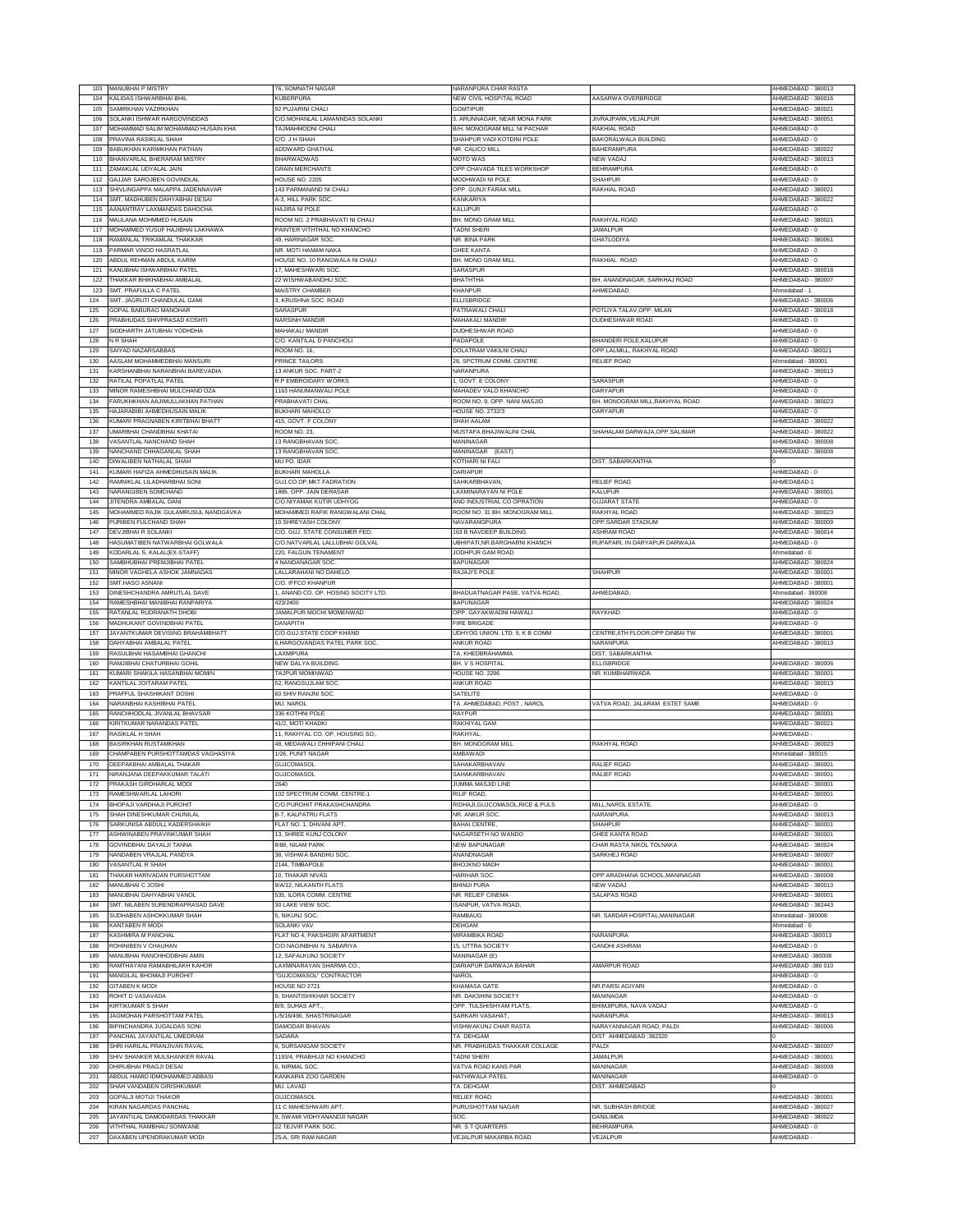| 103        | <b>MANUBHAI P MISTRY</b>                                    | 76, SOMNATH NAGAR                         | NARANPURA CHAR RASTA                         |                                                | HMEDABAD - 380013                        |
|------------|-------------------------------------------------------------|-------------------------------------------|----------------------------------------------|------------------------------------------------|------------------------------------------|
| 104        | KALIDAS ISHWARBHAI BHIL                                     | KUBERPURA                                 | NEW CIVIL HOSPITAL ROAD                      | AASARWA OVERBRIDGE                             | AHMEDABAD - 380016                       |
| 105        | SAMIRKHAN VAZIRKHAN                                         | 92 PUJARINI CHALI                         | <b>GOMTIPUR</b>                              |                                                | AHMEDABAD - 380021                       |
|            |                                                             |                                           |                                              |                                                |                                          |
| 106        | SOLANKI ISHWAR HARGOVINDDAS                                 | C/O.MOHANLAL LAMANNDAS SOLANKI            | 3, ARUNNAGAR, NEAR MONA PARK                 | JIVRAJPARK, VEJALPUR                           | HMEDABAD - 380051                        |
| 107        | MOHAMMAD SALIM MOHAMMAD HUSAIN KHA                          | TAJMAHMODNI CHALI                         | B/H. MONOGRAM MILL NI PACHAR                 | RAKHIAI ROAD                                   | AHMEDARAD-0                              |
| 108        | PRAVINA RASIKLAL SHAH                                       | C/O. J H SHAH                             | SHAHPUR VADI KOTDINI POLE                    | BAKORALWALA BUILDING                           | AHMEDABAD - 0                            |
| 109        | BABUKHAN KARIMKHAN PATHAN                                   | ADDWARD GHATHAL                           | <b>VR. CALICO MILL</b>                       | <b>BAHERAMPURA</b>                             | AHMEDABAD - 380022                       |
| 110        | BHANVARLAL BHERARAM MISTRY                                  | <b>BHARWADWAS</b>                         | <b>MOTO WAS</b>                              | NEW VADAJ                                      | AHMEDABAD - 380013                       |
| 111        | ZAMAKLAL UDYALAL JAIN                                       | <b>GRAIN MERCHANTS</b>                    | OPP.CHAVADA TILES WORKSHOP                   | <b>BEHRAMPURA</b>                              | AHMEDABAD - 0                            |
| 112        | GAJJAR SAROJBEN GOVINDLAL                                   | HOUSE NO. 2205                            | MODHWADI NI POLE                             | <b>SHAHPUF</b>                                 | AHMEDABAD - 0                            |
| 113        | SHIVLINGAPPA MALAPPA JADENNAVAR                             | 143 PARMANAND NI CHALI                    | OPP. GUNJI FARAK MILL                        | RAKHIAL ROAD                                   | AHMEDABAD - 380021                       |
| 114        | SMT. MADHUBEN DAHYABHAI DESAI                               | <b>A-3, HILL PARK SOC</b>                 | KANKARIYA                                    |                                                | AHMEDABAD - 380022                       |
| 115        | AANANTRAY LAXMANDAS DAHOCHA                                 | HAJIRA NI POLI                            | KALUPUF                                      |                                                | AHMEDABAD -                              |
| 116        | MAULANA MOHMMED HUSAIN                                      | ROOM NO. 2 PRABHAVATI NI CHALI            | BH. MONO GRAM MILL                           | RAKHYAL ROAD                                   | AHMEDABAD - 380021                       |
| 117        | MOHAMMED YUSUF HAJIBHAI LAKHAWA                             | PAINTER VITHTHAL NO KHANCHO               | <b>TADNI SHERI</b>                           | <b>JAMALPUR</b>                                | AHMEDABAD - 0                            |
| 118        | RAMANLAL TRIKAMLAL THAKKAR                                  | 49. HARINAGAR SOC                         | NR. BINA PARK                                | <b>GHATLODIYA</b>                              | AHMEDABAD - 380061                       |
| 119        | ARMAR VINOD HASRATLAL                                       | NR. MOTI HAMAM NAKA                       | GHEE KANTA                                   |                                                | AHMEDABAD - 0                            |
| 120        | ABDUL REHMAN ABDUL KARIM                                    | HOUSE NO. 10 RANGWALA NI CHALI            | BH. MONO GRAM MILL                           | RAKHIAL ROAD                                   | AHMEDABAD - 0                            |
| 121        | KANUBHAI ISHWARBHAI PATEL                                   | 17. MAHESHWARI SOC                        | SARASPUF                                     |                                                | AHMEDABAD - 380018                       |
|            |                                                             |                                           |                                              |                                                |                                          |
| 122        | THAKKAR BHIKHABHAI AMBALAL                                  | 22 WISHWABANDHU SOC                       | ВНАТНТНА                                     | BH. ANANDNAGAR, SARKHAJ ROAD                   | AHMEDABAD - 380007                       |
| 123        | SMT. PRAFULLA C PATEL                                       | <b>MAISTRY CHAMBER</b>                    | KHANPUR                                      | AHMEDABAD                                      | Ahmedabad - '                            |
| 124        | SMT. JAGRUTI CHANDULAL GAMI                                 | 3, KRUSHNA SOC. ROAD                      | ELLISBRIDGE                                  |                                                | AHMEDABAD - 380006                       |
| 125        | GOPAL BABURAO MANOHAR                                       | SARASPUR                                  | PATRAWALI CHALI                              | POTLIYA TALAV, OPP. MILAN                      | AHMEDABAD - 380018                       |
| 126        | PRABHUDAS SHIVPRASAD KOSHTI                                 | NARSINH MANDIR                            | <b>MAHAKALI MANDIR</b>                       | DUDHESHWAR ROAD                                | AHMEDABAD - 0                            |
| 127        | SIDDHARTH JATUBHAI YODHDHA                                  | MAHAKALI MANDIR                           | <b>DUDHESHWAR ROAD</b>                       |                                                | AHMEDABAD - 0                            |
| 128        | N R SHAH                                                    | C/O. KANTILAL D PANCHOLI                  | PADAPOLE                                     | BHANDERI POLE, KALUPUR                         | AHMEDABAD - 0                            |
| 129        | SAIYAD NAZARSABBAS                                          | <b>ROOM NO. 16</b>                        | DOLATRAM VAKILNI CHAL                        | OPP.LALMILL. RAKHYAL ROAD                      | AHMEDABAD-380021                         |
| 130        | AASLAM MOHAMMEDBHAI MANSURI                                 | PRINCE TAILORS                            | 28, SPCTRUM COMM. CENTRE                     | RELIEF ROAD                                    | Ahmedabad - 380001                       |
| 131        | KARSHANBHAI NARANBHAI BAREVADIA                             | 13 ANKUR SOC. PART-2                      | <b>NARANPURA</b>                             |                                                | AHMEDABAD - 380013                       |
| 132        | RATILAL POPATLAL PATEI                                      | R P EMBROIDARY WORKS                      | 1, GOVT. E COLONY                            | SARASPUR                                       | AHMEDARAD-0                              |
| 133        | MINOR RAMESHBHAI MULCHAND OZA                               | 1163 HANUMANWALI POLE                     | MAHADEV VALO KHANCHC                         | DARYAPUF                                       | AHMEDABAD - 0                            |
|            | ARUKHKHAN AAJIMULLAKHAN PATHAN                              |                                           | ROOM NO. 9, OPP. NANI MASJID                 |                                                |                                          |
| 134        |                                                             | <b>PRABHAVATI CHAL</b>                    |                                              | BH. MONOGRAM MILL, RAKHYAL ROAD                | AHMEDABAD - 380023                       |
| 135        | HAJARABIBI AHMEDHUSAIN MALIK                                | <b>BUKHARI MAHOLLO</b>                    | HOUSE NO. 2732/3                             | DARYAPUR                                       | AHMEDABAD - 0                            |
| 136        | KUMARI PRAGNABEN KIRITBHAI BHATT                            | 415, GOVT. F COLONY                       | SHAH AALAM                                   |                                                | AHMEDABAD - 380022                       |
| 137        | UMARBHAI CHANDBHAI KHATAI                                   | ROOM NO. 23                               | MUSTAFA BHAJIWALINI CHAL                     | SHAHALAM DARWAJA, OPP. SALIMAR                 | AHMEDABAD - 380022                       |
| 138        | VASANTLAL NANCHAND SHAH                                     | 13 RANGBHAVAN SOC.                        | MANINAGAR                                    |                                                | AHMEDABAD - 380008                       |
| 139        | NANCHAND CHHAGANLAL SHAH                                    | 13 RANGBHAVAN SOC                         | MANINAGAR (EAST)                             |                                                | AHMEDABAD - 380008                       |
| 140        | DIWALIBEN NATHALAL SHA                                      | MU PO. IDAI                               | <b>KOTHARI NI FALI</b>                       | DIST. SABARKANTHA                              |                                          |
| 141        | KUMARI HAFIZA AHMEDHUSAIN MALIK                             | <b>BUKHARI MAHOLLA</b>                    | DARIAPUR                                     |                                                | AHMEDABAD - 0                            |
| 142        | RAMNIKLAL LILADHARBHAI SONI                                 | GUJ.CO.OP.MKT.FADRATION                   | SAHKARBHAVAN,                                | <b>RELIEF ROAD</b>                             | AHMEDARAD-1                              |
| 143        | NARANGIBEN SOMCHAND                                         | 1885, OPP. JAIN DERASAR                   | LAXMINARAYAN NI POLE                         | KALUPUF                                        | AHMEDABAD - 380001                       |
| 144        | JITENDRA AMBALAL DANI                                       | C/O.NIYAMAK KUTIR UDHYOG                  | AND INDUSTRIAL CO OPRATION                   | <b>GUJARAT STATE</b>                           | AHMEDABAD - 0                            |
| 145        | MOHAMMED RAJIK GULAMRUSUL NANDGAVKA                         | MOHAMMED RAFIK RANGWALANI CHAL            | ROOM NO. 31 BH. MONOGRAM MILL                | RAKHYAL ROAD                                   | AHMEDABAD - 380023                       |
| 146        | PURIBEN FULCHAND SHAH                                       | 10 SHREYASH COLONY                        | NAVARANGPURA                                 | OPP.SARDAR STADIUM                             | AHMEDABAD - 380009                       |
| 147        | DEVJIBHAI R SOLANKI                                         | C/O. GUJ. STATE CONSUMER FED.             | 163 B NAVDEEP BUILDING                       | <b>SHRAM ROAD</b>                              | AHMEDABAD - 380014                       |
|            |                                                             |                                           |                                              |                                                |                                          |
| 148        | HASUMATIBEN NATWARBHAI GOLWALA                              | C/O.NATVARLAL LALLUBHAI GOLVAL            | UBHIPATI, NR.BARGHARNI KHANCH                | RUPAPARI, IN DARYAPUR DARWAJA                  | AHMEDABAD - 0                            |
| 149        | KODARLAL S. KALAL(EX-STAFF)                                 | 220, FALGUN TENAMENT                      | JODHPUR GAM ROAD                             |                                                | Ahmedabad - 0                            |
| 150        | SAMBHUBHAI PREMJIBHAI PATEL                                 | 4 NANDANAGAR SOC                          | <b>BAPUNAGAR</b>                             |                                                | AHMEDABAD - 380024                       |
| 151        | MINOR VAGHELA ASHOK JAMNADAS                                | LALLARAHANI NO DAHELO                     | RAJAJI'S POLE                                | <b>SHAHPUR</b>                                 | AHMEDABAD - 380001                       |
| 152        | SMT.HASO ASNAN                                              | C/O. IFFCO KHANPUF                        |                                              |                                                | AHMEDABAD - 380001                       |
| 153        | DINESHCHANDRA AMRUTLAL DAVE                                 | , ANAND CO. OP. HOSING SOCITY LTD.        | <b>BHADUATNAGAR PASE, VATVA ROAD,</b>        | AHMEDABAD.                                     | Ahmedabad - 380008                       |
| 154        | RAMESHBHAI MANIBHAI RANPARIYA                               | 423/2400                                  | <b>BAPUNAGAR</b>                             |                                                | AHMEDABAD - 380024                       |
|            |                                                             | JAMALPUR MOCHI MOMENWAD                   | OPP. GAYAKWADNI HAWALI                       |                                                | AHMEDABAD - 0                            |
| 155        | RATANLAL RUDRANATH DHOBI                                    |                                           |                                              | RAYKHAD                                        |                                          |
| 156        | MADHUKANT GOVINDBHAI PATEL                                  | DANAPITH                                  | FIRE BRIGADE                                 |                                                | AHMEDABAD - 0                            |
| 157        |                                                             | C/O.GUJ.STATE COOP KHAND                  |                                              |                                                | AHMEDABAD - 380001                       |
|            | JAYANTKUMAR DEVISING BRAHAMBHATT<br>DAHYABHAI AMBALAL PATEL | 6, HARGOVANDAS PATEL PARK SOC             | UDHYOG UNION. LTD. 9, K B COMM<br>ANKUR ROAD | CENTRE, 6TH FLOOR, OPP. DINBAI TW<br>NARANPURA |                                          |
| 158        |                                                             |                                           |                                              |                                                | AHMEDABAD - 380013                       |
| 159        | RASULBHAI HASAMBHAI GHANCHI                                 | AXMIPURA                                  | TA. KHEDBRAHAMMA                             | DIST. SABARKANTHA                              |                                          |
| 160        | RAMJIBHAI CHATURBHAI GOHIL                                  | <b>NEW DALYA BUILDING</b>                 | BH. V S HOSPITAL                             | ELLISBRIDGE                                    | AHMEDABAD - 380006                       |
| 161        | KUMARI SHAKILA HASANBHAI MOMIN                              | TAJPUR MOMINWAD                           | HOUSE NO. 2296                               | NR. KUMBHARWADA                                | AHMEDABAD - 380001                       |
| 162        | KANTILAL JOITARAM PATEI                                     | 52, RANGSUJLAM SOC                        | ANKUR ROAD                                   |                                                | AHMEDABAD - 380013                       |
| 163        | PRAFFUL SHASHIKANT DOSH                                     | 60 SHIV RANJNI SOC.                       | SATELITE                                     |                                                | AHMEDABAD - 0                            |
| 164        | NARANBHAI KASHIBHAI PATEI                                   | MU. NAROL                                 | TA, AHMEDABAD, POST, NAROL                   | VATVA ROAD JALARAM ESTET SAME                  | AHMEDABAD - 0                            |
| 165        | RANCHHODLAL JIVANLAL BHAVSAR                                | 336 KOTHNI POLE                           | RAYPUR                                       |                                                | AHMEDABAD - 380001                       |
| 166        | KIRITKUMAR NARANDAS PATEL                                   | 41/2. MOTI KHADKI                         | RAKHIYAL GAM                                 |                                                | AHMEDABAD - 380021                       |
| 167        | RASIKLAL H SHAH                                             | 11, RAKHYAL CO. OP, HOUSING SO,           | RAKHYAL                                      |                                                | AHMEDABAD                                |
| 168        | <b>BASIRKHAN RUSTAMKHAN</b>                                 | 48, MEDAWALI CHHIPANI CHALI               | BH. MONOGRAM MILL                            | RAKHYAL ROAD                                   | AHMEDABAD - 380023                       |
| 169        | CHAMPABEN PURSHOTTAMDAS VAGHASIYA                           | 1/26, PUNIT NAGAR                         | <b>AMBAWADI</b>                              |                                                | Ahmedabad - 380015                       |
| 170        | DEEPAKBHAI AMBALAL THAKAR                                   | GUJCOMASOL                                | SAHAKARBHAVAN                                | RALIEF ROAD                                    | AHMEDABAD - 380001                       |
| 171        | NIRANJANA DEEPAKKUMAR TALATI                                |                                           |                                              | RALIEF ROAD                                    |                                          |
| 172        | PRAKASH GIRDHARLAL MODI                                     | <b>GUJCOMASOL</b><br>2640                 | SAHAKARBHAVAN                                |                                                | AHMEDABAD - 380001<br>AHMEDABAD - 380001 |
|            |                                                             |                                           | JUMMA MASJID LINE                            |                                                | AHMEDABAD - 380001                       |
| 173        | RAMESHWARLAL LAHORI                                         | 102 SPECTRUM COMM. CENTRE-1               | RILIF ROAD.                                  |                                                |                                          |
| 174        | BHOPAJI VARDHAJI PUROHIT                                    | C/O.PUROHIT PRAKASHCHANDRA                | RIDHAJI, GUJCOMASOL, RICE & PULS             | MILL, NAROL ESTATE,                            | AHMEDABAD - 0                            |
| 175        | SHAH DINESHKUMAR CHUNILAL                                   | <b>B-7, KALPATRU FLATS</b>                | NR. ANKUR SOC.                               | NARANPURA                                      | AHMEDABAD - 380013                       |
| 176        | SARKUNISA ABDULL KADERSHAIKH                                | FLAT NO. 1, DHVANI APT.                   | BAHAI CENTRE.                                | <b>SHAHPUR</b>                                 | AHMEDABAD - 380001                       |
| 177        | ASHWINABEN PRAVINKUMAR SHAH                                 | 13, SHREE KUNJ COLONY                     | NAGARSETH NO WANDO                           | GHEE KANTA ROAD                                | AHMEDABAD - 380001                       |
| 178        | GOVINDBHAI DAYALJI TANNA                                    | 3/88, NILAM PARK                          | <b>NEW BAPUNAGAR</b>                         | CHAR RASTA NIKOL TOLNAKA                       | AHMEDABAD - 380024                       |
| 179        | NANDABEN VRAJLAL PANDYA                                     | 38, VISHWA BANDHU SOC.                    | ANANDNAGAR                                   | SARKHEJ ROAD                                   | AHMEDABAD - 380007                       |
| 180        | VASANTLAL R SHAH                                            | 2144, TIMBAPOLE                           | <b>BHOJKNO MADH</b>                          |                                                | AHMEDABAD - 380001                       |
| 181        | THAKAR HARIVADAN PURSHOTTAM                                 | 10. THAKAR NIVAS                          | HARIHAR SOC                                  | OPP.ARADHANA SCHOOL,MANINAGAR                  | AHMEDABAD - 380008                       |
| 182        | MANUBHAI C JOSHI                                            | 9/A/12 NII KANTH FI ATS                   | <b>BHIMJI PURA</b>                           | NEW VADA.                                      | AHMEDABAD - 380013                       |
| 183        | MANUBHAI DAHYABHAI VANOL                                    | 535, ILORA COMM. CENTRE                   | NR. RELIEF CINEMA                            | SALAPAS ROAD                                   | AHMEDABAD - 380001                       |
| 184        | <b>SMT. NILABEN SURENDRAPRASAD DAVE</b>                     | <b>30 LAKE VIEW SOC</b>                   | <b>SANPUR, VATVA ROAD</b>                    |                                                | AHMEDABAD - 382443                       |
| 185        | SUDHABEN ASHOKKUMAR SHAH                                    | 5, NIKUNJ SOC.                            | RAMBAUG                                      | NR. SARDAR HOSPITAL, MANINAGAR                 | Ahmedabad - 380008                       |
| 186        | KANTABEN R MODI                                             | <b>SOLANKI VAV</b>                        | DEHGAM                                       |                                                | Ahmedabad - 0                            |
| 187        | <b>KASHMIRA M PANCHAI</b>                                   | FLAT NO 4, PAKSHGIRI APARTMENT            | <b>MIRAMBIKA ROAD</b>                        | NARANPURA                                      | AHMEDABAD-380013                         |
| 188        | ROHINIBEN V CHAUHAN                                         | C/O.NAGINBHAI N. SABARIYA                 | 15, UTTRA SOCIETY                            | <b>GANDHI ASHRAM</b>                           | AHMEDABAD - 0                            |
|            | MANUBHAI RANCHHODBHAI AMIN                                  | 12. SAFALKUNJ SOCIETY                     |                                              |                                                | AHMEDABAD-380008                         |
| 189        |                                                             |                                           | MANINAGAR (E)                                |                                                |                                          |
| 190        | RAMTHAYANI RAMABHILAKH KAHOR                                | AXMINARAYAN SHARMA CO.                    | DARIAPUR DARWAJA BAHAR                       | AMARPUR ROAD                                   | AHMEDABAD -380 010                       |
| 191        | MANGILAL BHOMAJI PUROHIT                                    | <b>GUJCOMASOL" CONTRACTOR</b>             | NAROL                                        |                                                | AHMEDABAD - 0                            |
| 192        | <b>GITABEN K MODI</b>                                       | HOUSE NO 2721                             | <b>KHAMASA GATE</b>                          | NR.PARSI AGIYARI                               | AHMEDABAD - 0                            |
| 193        | ROHIT D VASAVADA                                            | 9, SHANTISHIKHAR SOCIETY                  | NR. DAKSHINI SOCIETY                         | MANINAGAR                                      | AHMEDABAD - 0                            |
| 194        | <b>KIRTIKUMAR S SHAH</b>                                    | B/9, SUHAS APT.                           | OPP. TULSHISHYAM FLATS,                      | BHIMJIPURA, NAVA VADAJ                         | AHMEDABAD - 0                            |
| 195        | JAGMOHAN PARSHOTTAM PATEL                                   | L/5/16/490, SHASTRINAGAR                  | SARKARI VASAHAT                              | NARANPURA                                      | AHMEDABAD - 380013                       |
| 196        | BIPINCHANDRA JUGALDAS SONI                                  | DAMODAR BHAVAN                            | VISHWAKUNJ CHAR RASTA                        | NARAYANNAGAR ROAD, PALDI                       | AHMEDABAD - 380006                       |
| 197        | ANCHAL JAYANTILAL UMEDRAM                                   | SADARA                                    | TA DEHGAM                                    | DIST AHMEDABAD: 382320                         |                                          |
| 198        | SHRI HARILAL PRANJIVAN RAVAL                                | 6. SURSANGAM SOCIETY                      | NR. PRABHUDAS THAKKAR COLLAGE                | PALDI                                          | AHMEDABAD - 380007                       |
| 199        | SHIV SHANKER MULSHANKER RAVAL                               | 1193/4, PRABHUJI NO KHANCHO               | TADNI SHERI                                  | <b>JAMALPUR</b>                                | AHMEDABAD - 380001                       |
| 200        | DHIRUBHAI PRAGJI DESAI                                      | S. NIRMAL SOC                             | VATVA ROAD KANS PAR                          | MANINAGAR                                      | AHMEDABAD - 380008                       |
| 201        | ABDUL HAMID IDMOHAMMED ABBASI                               |                                           | HATHIWALA PATEL                              | MANINAGAR                                      | AHMEDABAD - 0                            |
|            |                                                             | KANKARIA ZOO GARDEN                       | TA, DEHGAM                                   |                                                |                                          |
| 202        | SHAH VANDABEN GIRISHKUMAR                                   | MU. LAVAD                                 |                                              | DIST. AHMEDABAD                                |                                          |
| 203        | <b>SOPALJI MOTIJI THAKOR</b>                                | <b>GUJCOMASOL</b>                         | RELIEF ROAD                                  |                                                | AHMEDABAD - 38000*                       |
| 204        | KIRAN NAGARDAS PANCHAL                                      | 11 C MAHESHWARI APT.                      | PURUSHOTTAM NAGAR                            | NR. SUBHASH BRIDGE                             | AHMEDABAD - 380027                       |
| 205        | JAYANTILAL DAMODARDAS THAKKAR                               | 9, SWAMI VIDHYANANDJI NAGAR               | SOC.                                         | DANILIMDA                                      | AHMEDABAD - 380022                       |
| 206<br>207 | VITHTHAL RAMBHAU SONWANE<br>DAXABEN UPENDRAKUMAR MODI       | 22 TEJVIR PARK SOC<br>25-A, SRI RAM NAGAR | NR. S T QUARTERS<br>VEJALPUR MAKARBA ROAD    | <b>BEHRAMPURA</b><br>VEJALPUR                  | AHMEDABAD - 0<br>AHMEDABAD-              |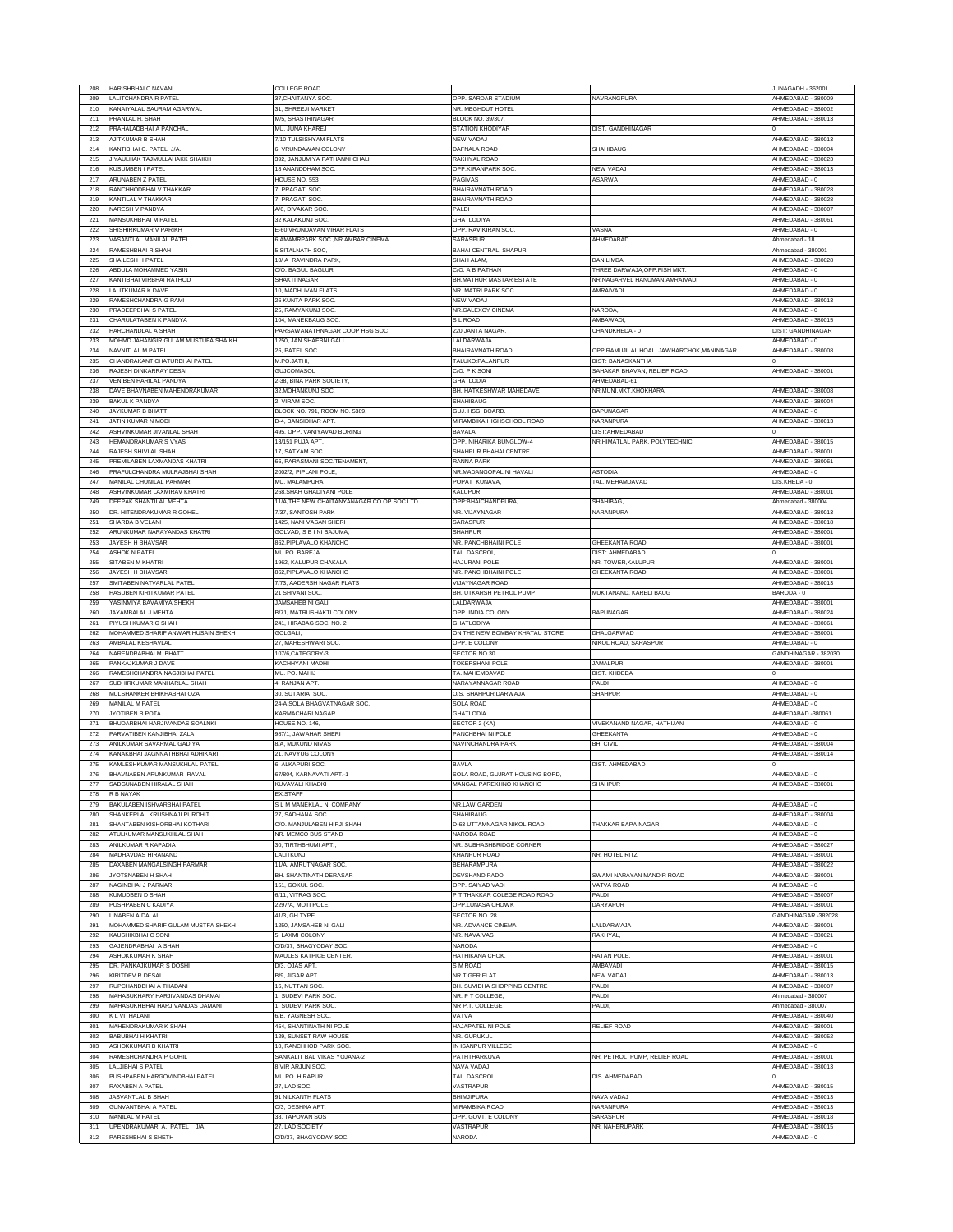| 208        | HARISHBHAI C NAVANI                                         | COLLEGE ROAD                               |                                   |                                           | JUNAGADH - 362001                   |
|------------|-------------------------------------------------------------|--------------------------------------------|-----------------------------------|-------------------------------------------|-------------------------------------|
| 209        | ALITCHANDRA R PATEL                                         | 37.CHAITANYA SOC.                          | OPP. SARDAR STADIUM               | NAVRANGPURA                               | AHMEDABAD - 380009                  |
| 210        | KANAIYALAL SAURAM AGARWAL                                   | 31. SHREEJI MARKET                         |                                   |                                           | AHMEDABAD - 380002                  |
|            |                                                             |                                            | NR. MEGHDUT HOTEL                 |                                           |                                     |
| 211        | PRANLAL H. SHAH                                             | <b>M/5, SHASTRINAGAR</b>                   | <b>BLOCK NO. 39/307</b>           |                                           | AHMEDABAD - 380013                  |
| 212        | PRAHALADBHAI A PANCHAL                                      | MU. JUNA KHAREJ                            | STATION KHODIYAR                  | DIST. GANDHINAGAR                         |                                     |
| 213        | AJITKUMAR B SHAH                                            | 7/10 TULSISHYAM FLATS                      | NEW VADAJ                         |                                           | AHMEDABAD - 380013                  |
| 214        | KANTIBHAI C. PATEL J/A.                                     | 6, VRUNDAWAN COLONY                        | DAFNALA ROAD                      | SHAHIBAUG                                 | AHMEDABAD - 380004                  |
| 215        | JIYAULHAK TAJMULLAHAKK SHAIKH                               | 392, JANJUMIYA PATHANNI CHALI              | RAKHYAL ROAD                      |                                           | AHMEDABAD - 380023                  |
| 216        | KUSUMBEN I PATEL                                            | 18 ANANDDHAM SOC                           | OPP.KIRANPARK SOC                 | NEW VADAJ                                 | AHMEDABAD - 380013                  |
| 217        | ARUNABEN Z PATEL                                            | HOUSE NO. 553                              | PAGIVAS                           | ASARWA                                    | AHMEDABAD - 0                       |
| 218        | RANCHHODBHAI V THAKKAR                                      | 7. PRAGATI SOC                             | BHAIRAVNATH ROAD                  |                                           | AHMEDABAD - 380028                  |
| 219        | KANTILAL V THAKKAR                                          | 7, PRAGATI SOC                             | BHAIRAVNATH ROAD                  |                                           | AHMEDABAD - 380028                  |
| 220        | <b>VARESH V PANDYA</b>                                      | <b>4/6, DIVAKAR SOC</b>                    | PALD                              |                                           | AHMEDABAD - 380007                  |
| 221        | MANSUKHBHAI M PATEL                                         | 32 KALAKUNJ SOC                            | <b>GHATLODIYA</b>                 |                                           | AHMEDABAD - 380061                  |
|            |                                                             |                                            |                                   |                                           |                                     |
| 222        | SHISHIRKUMAR V PARIKH                                       | E-60 VRUNDAVAN VIHAR FLATS                 | OPP. RAVIKIRAN SOC                | VASNA                                     | AHMEDABAD - 0                       |
| 223        | VASANTLAL MANILAL PATEL                                     | 6 AMAMRPARK SOC ,NR AMBAR CINEMA           | SARASPUR                          | AHMEDABAD                                 | Ahmedabad - 18                      |
| 224        | RAMESHBHAI R SHAH                                           | <b>SITALNATH SOC</b>                       | BAHAI CENTRAL, SHAPUR             |                                           | Ahmedabad - 380001                  |
| 225        | SHAILESH H PATEL                                            | 10/ A RAVINDRA PARK,                       | <b>SHAH ALAM</b>                  | DANII IMDA                                | AHMEDABAD - 380028                  |
| 226        | ABDULA MOHAMMED YASIN                                       | C/O. BAGUL BAGLUR                          | C/O. A B PATHAM                   | THREE DARWAJA, OPP. FISH MKT              | AHMEDABAD - 0                       |
| 227        | (ANTIBHAI VIRBHAI RATHOD                                    | SHAKTI NAGAR                               | BH.MATHUR MASTAR ESTATE           | NR.NAGARVEL HANUMAN, AMRAIVADI            | AHMEDABAD - 0                       |
| 228        | <b>ALITKUMAR K DAVE</b>                                     | 10, MADHUVAN FLATS                         | NR. MATRI PARK SOC.               | AMRAIVADI                                 | AHMEDABAD - 0                       |
| 229        | RAMESHCHANDRA G RAMI                                        | 26 KUNTA PARK SOC                          | NEW VADAJ                         |                                           | AHMEDABAD - 380013                  |
| 230        | PRADEEPBHAIS PATEL                                          | 25, RAMYAKUNJ SOC                          | NR.GALEXCY CINEMA                 | NARODA                                    | AHMEDABAD - 0                       |
| 231        | CHARULATABEN K PANDYA                                       | 104. MANEKBAUG SOC                         | S L ROAD                          | AMBAWADI                                  | AHMEDABAD - 380015                  |
|            |                                                             |                                            |                                   |                                           |                                     |
| 232        | HARCHANDLAL A SHAH                                          | PARSAWANATHNAGAR COOP HSG SOC              | 220 JANTA NAGAR,                  | CHANDKHEDA - 0                            | DIST: GANDHINAGAR                   |
| 233        | MOHMD.JAHANGIR GULAM MUSTUFA SHAIKH                         | 1250, JAN SHAEBNI GALI                     | LALDARWAJA                        |                                           | AHMEDABAD - 0                       |
| 234        | <b>VAVNITLAL M PATEL</b>                                    | 26, PATEL SOC                              | BHAIRAVNATH ROAD                  | OPP.RAMUJILAL HOAL, JAWHARCHOK, MANINAGAR | AHMEDABAD - 380008                  |
| 235        | CHANDRAKANT CHATURBHAI PATEL                                | M.PO.JATHI.                                | TALUKO:PALANPUR                   | DIST: BANASKANTHA                         |                                     |
| 236        | RAJESH DINKARRAY DESAI                                      | GUJCOMASOL                                 | C/O. P K SONI                     | SAHAKAR BHAVAN, RELIEF ROAD               | AHMEDABAD - 380001                  |
| 237        | <b>VENIBEN HARILAL PANDYA</b>                               | 2-38, BINA PARK SOCIETY,                   | <b>GHATLODIA</b>                  | AHMEDABAD-6                               |                                     |
| 238        | DAVE BHAVNABEN MAHENDRAKUMAR                                | 32, MOHANKUNJ SOC.                         | BH. HATKESHWAR MAHEDAVE           | NR.MUNI.MKT.KHOKHARA                      | AHMEDABAD - 380008                  |
| 239        | <b>BAKUL K PANDYA</b>                                       | VIRAM SOC                                  | SHAHIBAUG                         |                                           | AHMEDABAD - 380004                  |
|            |                                                             |                                            |                                   |                                           |                                     |
| 240        | JAYKUMAR B BHATT                                            | BLOCK NO. 791, ROOM NO. 5389,              | GUJ, HSG, BOARD.                  | BAPUNAGAR                                 | AHMEDABAD - 0                       |
| 241        | JATIN KUMAR N MODI                                          | D-4, BANSIDHAR APT.                        | MIRAMBIKA HIGHSCHOOL ROAD         | NARANPURA                                 | AHMEDABAD - 380013                  |
| 242        | ASHVINKUMAR JIVANLAL SHAH                                   | 495, OPP. VANIYAVAD BORING                 | <b>BAVALA</b>                     | DIST: AHMEDABAD                           |                                     |
| 243        | HEMANDRAKUMAR S VYAS                                        | 13/151 PUJA APT                            | OPP NIHARIKA BUNGI OW-4           | NR.HIMATLAL PARK, POLYTECHNIC             | AHMEDABAD - 380015                  |
| 244        | RAJESH SHIVLAL SHAH                                         | 17. SATYAM SOC                             | SHAHPUR BHAHAI CENTRE             |                                           | AHMEDABAD - 380001                  |
| 245        | PREMILABEN LAXMANDAS KHATRI                                 | 66, PARASMANI SOC.TENAMENT,                | RANNA PARK                        |                                           | AHMEDABAD - 380061                  |
| 246        | PRAFULCHANDRA MULRAJBHAI SHAH                               | 2002/2, PIPLANI POLE,                      | NR.MADANGOPAL NI HAVALI           | <b>ASTODIA</b>                            | AHMEDABAD - 0                       |
| 247        | MANILAL CHUNILAL PARMAR                                     | MU, MALAMPURA                              |                                   |                                           |                                     |
|            |                                                             |                                            | POPAT KUNAVA,                     | TAL. MEHAMDAVAD                           | DIS.KHEDA - 0                       |
| 248        | ASHVINKUMAR LAXMIRAV KHATRI                                 | 268, SHAH GHADIYANI POLE                   | KALUPUR                           |                                           | AHMEDABAD - 380001                  |
| 249        | DEEPAK SHANTILAL MEHTA                                      | 11/A, THE NEW CHAITANYANAGAR CO.OP SOC.LTD | OPP:BHAICHANDPURA,                | SHAHIBAG                                  | Ahmedabad - 380004                  |
| 250        | DR. HITENDRAKUMAR R GOHEL                                   | 7/37, SANTOSH PARK                         | NR. VIJAYNAGAR                    | NARANPURA                                 | AHMEDABAD - 380013                  |
| 251        | SHARDA B VELAN                                              | 1425, NANI VASAN SHERI                     | SARASPUR                          |                                           | AHMEDABAD - 380018                  |
| 252        | ARUNKUMAR NARAYANDAS KHATRI                                 | GOLVAD, S B I NI BAJUMA,                   | SHAHPUR                           |                                           | AHMEDABAD - 380001                  |
| 253        | JAYESH H BHAVSAR                                            | 862, PIPLAVALO KHANCHO                     | NR. PANCHBHAINI POLE              | GHEEKANTA ROAD                            | AHMEDABAD - 380001                  |
| 254        | ASHOK N PATEL                                               | MU.PO. BAREJA                              | TAL. DASCROI.                     | DIST: AHMEDABAD                           |                                     |
| 255        |                                                             |                                            |                                   |                                           |                                     |
|            | SITABEN M KHATRI                                            | 1962, KALUPUR CHAKALA                      | HAJURANI POLE                     | NR. TOWER,KALUPUR                         | AHMEDABAD - 380001                  |
| 256        | JAYESH H BHAVSAR                                            | 862. PIPLAVALO KHANCHO                     | NR. PANCHBHAINI POLE              | <b>GHEEKANTA ROAD</b>                     | AHMEDABAD - 380001                  |
| 257        | SMITABEN NATVARLAL PATEL                                    | 7/73, AADERSH NAGAR FLATS                  | <b>VIJAYNAGAR ROAD</b>            |                                           | AHMEDABAD - 380013                  |
| 258        | <b>HASUBEN KIRITKUMAR PATEL</b>                             | 21 SHIVANI SOC                             | BH. UTKARSH PETROL PUMP           | MUKTANAND, KARELI BAUG                    | BARODA - 0                          |
| 259        | <b>/ASINMIYA BAVAMIYA SHEKH</b>                             | JAMSAHEB NI GAL                            | LALDARWAJA                        |                                           | AHMEDABAD - 380001                  |
| 260        | JAYAMBALAL J MEHTA                                          | B/71, MATRUSHAKTI COLONY                   | OPP. INDIA COLONY                 | <b>BAPUNAGAR</b>                          | AHMEDABAD - 380024                  |
|            |                                                             |                                            |                                   |                                           |                                     |
| 261        |                                                             |                                            |                                   |                                           |                                     |
|            | PIYUSH KUMAR G SHAH                                         | 241, HIRABAG SOC. NO. 2                    | GHATLODIYA                        |                                           | AHMEDABAD - 380061                  |
| 262        | MOHAMMED SHARIF ANWAR HUSAIN SHEKH                          | <b>GOLGALI</b>                             | ON THE NEW BOMBAY KHATAU STORE    | <b>DHALGARWAD</b>                         | AHMEDABAD - 380001                  |
| 263        | AMBALAL KESHAVLAI                                           | 27, MAHESHWARI SOC                         | OPP. E COLONY                     | NIKOL ROAD, SARASPUR                      | AHMEDABAD - (                       |
| 264        | NARENDRABHAI M. BHATT                                       | 107/6,CATEGORY-3                           | SECTOR NO.30                      |                                           | GANDHINAGAR - 382030                |
| 265        | PANKAJKUMAR J DAVE                                          | KACHHYANI MADHI                            | <b>TOKERSHANI POLE</b>            | JAMALPUR                                  | AHMEDABAD - 380001                  |
| 266        | RAMESHCHANDRA NAGJIBHAI PATEL                               | MU. PO. MAHIJ                              | TA. MAHEMDAVAD                    | DIST. KHDEDA                              |                                     |
| 267        | SUDHIRKUMAR MANHARLAL SHAH                                  | 1, RANJAN APT                              | NARAYANNAGAR ROAD                 | PALDI                                     | AHMEDABAD - 0                       |
| 268        | MULSHANKER BHIKHABHAI OZA                                   | 30. SUTARIA SOC                            | O/S. SHAHPUR DARWAJA              | SHAHPUR                                   | AHMEDABAD - 0                       |
| 269        | MANILAL M PATEL                                             | 24-A, SOLA BHAGVATNAGAR SOC.               | <b>SOLA ROAD</b>                  |                                           | AHMEDABAD - 0                       |
| 270        | JYOTIBEN B POTA                                             | <b>KARMACHARI NAGAR</b>                    | <b>GHATLODIA</b>                  |                                           | AHMEDABAD -380061                   |
| 271        |                                                             | HOUSE NO. 146.                             | SECTOR 2 (KA)                     |                                           | AHMEDABAD - 0                       |
| 272        | BHUDARBHAI HARJIVANDAS SOALNKI<br>PARVATIBEN KANJIBHAI ZALA | 987/1, JAWAHAR SHERI                       | PANCHBHAI NI POLE                 | VIVEKANAND NAGAR, HATHIJAN<br>GHEEKANTA   | AHMEDABAD - 0                       |
|            |                                                             |                                            |                                   |                                           |                                     |
| 273        | ANILKUMAR SAVARMAL GADIYA                                   | 8/A, MUKUND NIVAS                          | NAVINCHANDRA PARK                 | BH. CIVIL                                 | AHMEDABAD - 380004                  |
| 274        | KANAKBHAI JAGNNATHBHAI ADHIKARI                             | 21, NAVYUG COLONY                          |                                   |                                           | AHMEDABAD - 380014                  |
| 275        | KAMLESHKUMAR MANSUKHLAL PATEL                               | 6, ALKAPURI SOC.                           | <b>BAVLA</b>                      | DIST AHMEDARAD                            |                                     |
| 276        | BHAVNABEN ARUNKUMAR RAVAL                                   | 67/804, KARNAVATI APT.-1                   | SOLA ROAD, GUJRAT HOUSING BORD,   |                                           | AHMEDABAD - 0                       |
| 277        | SADGUNABEN HIRALAL SHAH                                     | KUVAVALI KHADKI                            | MANGAL PAREKHNO KHANCHO           | SHAHPUR                                   | AHMEDABAD - 380001                  |
| 278        | R B NAYAK                                                   | <b>EX.STAFF</b>                            |                                   |                                           |                                     |
| 279        | BAKULABEN ISHVARBHAI PATEL                                  | S L M MANEKLAL NI COMPANY                  | NR.LAW GARDEN                     |                                           | AHMEDABAD - 0                       |
| 280        | SHANKERLAL KRUSHNAJI PUROHIT                                | 27, SADHANA SOC.                           | <b>SHAHIBAUG</b>                  |                                           | AHMEDABAD - 380004                  |
| 281        | SHANTABEN KISHORBHAI KOTHARI                                | C/O. MANJULABEN HIRJI SHAH                 | <b>D-63 UTTAMNAGAR NIKOL ROAD</b> | <b>THAKKAR BAPA NAGAR</b>                 | AHMEDABAD - 0                       |
| 282        | ATULKUMAR MANSUKHLAL SHAH                                   | NR. MEMCO BUS STAND                        | NARODA ROAD                       |                                           | AHMEDABAD - 0                       |
| 283        | <b>NILKUMAR R KAPADIA</b>                                   | 30. TIRTHBHUMI APT                         | NR. SUBHASHBRIDGE CORNER          |                                           | AHMEDABAD - 380027                  |
| 284        | <b>MADHAVDAS HIRANAND</b>                                   | LALITKUNJ                                  | KHANPUR ROAD                      | NR. HOTEL RITZ                            | AHMEDABAD - 380001                  |
|            |                                                             |                                            |                                   |                                           |                                     |
| 285        | DAXABEN MANGALSINGH PARMAR                                  | 11/A, AMRUTNAGAR SOC.                      | <b>BEHARAMPURA</b>                |                                           | AHMEDABAD - 380022                  |
| 286        | JYOTSNABEN H SHAH                                           | BH. SHANTINATH DERASAR                     | DEVSHANO PADO                     | SWAMI NARAYAN MANDIR ROAD                 | AHMEDABAD - 380001                  |
| 287        | NAGINBHAI J PARMAR                                          | 151, GOKUL SOC.                            | OPP. SAIYAD VADI                  | VATVA ROAD                                | AHMEDABAD - 0                       |
| 288        | KUMUDBEN D SHAH                                             | 6/11, VITRAG SOC                           | P T THAKKAR COLEGE ROAD ROAD      | PAI DI                                    | AHMEDABAD - 380007                  |
| 289        | PUSHPABEN C KADIYA                                          | 2297/A, MOTI POLE                          | OPP.LUNASA CHOWK                  | DARYAPUR                                  | AHMEDABAD - 380001                  |
| 290        | INABEN A DALAL                                              | 41/3 GH TYPE                               | SECTOR NO. 28                     |                                           | GANDHINAGAR -382028                 |
| 291        | MOHAMMED SHARIF GULAM MUSTFA SHEKH                          | 1250 JAMSAHER NI GALL                      | NR. ADVANCE CINEMA                | LALDARWAJA                                | AHMEDABAD - 380001                  |
| 292        | KAUSHIKBHAI C SONI                                          | 5. LAXMI COLONY                            | NR. NAVA VAS                      | RAKHYAL                                   | AHMEDABAD - 380021                  |
| 293        | GAJENDRABHAI A SHAH                                         | C/D/37, BHAGYODAY SOC.                     | <b>NARODA</b>                     |                                           | AHMEDABAD - 0                       |
| 294        | <b>ASHOKKUMAR K SHAH</b>                                    | MAULES KATPICE CENTER                      |                                   | <b>RATAN POLE</b>                         | AHMEDABAD - 380001                  |
|            |                                                             |                                            | HATHIKANA CHOK,                   |                                           |                                     |
| 295        | DR. PANKAJKUMAR S DOSHI                                     | D/3. OJAS APT.                             | S M ROAD                          | AMBAVADI                                  | AHMEDABAD - 380015                  |
| 296        | KIRITDEV R DESAI                                            | B/9, JIGAR APT.                            | NR.TIGER FLAT                     | NEW VADAJ                                 | AHMEDABAD - 380013                  |
| 297        | RUPCHANDBHAI A THADANI                                      | 16. NUTTAN SOC.                            | BH. SUVIDHA SHOPPING CENTRE       | PAI DI                                    | AHMEDABAD - 380007                  |
| 298        | MAHASUKHARY HARJIVANDAS DHAMAI                              | 1, SUDEVI PARK SOC.                        | NR. P T COLLEGE                   | PALDI                                     | Ahmedabad - 380007                  |
| 299        | MAHASUKHBHAI HARJIVANDAS DAMANI                             | 1, SUDEVI PARK SOC.                        | NR P.T. COLLEGE                   | PALDI,                                    | Ahmedabad - 380007                  |
| 300        | K L VITHALANI                                               | 6/B, YAGNESH SOC                           | VATVA                             |                                           | AHMEDABAD - 380040                  |
|            |                                                             |                                            |                                   |                                           |                                     |
| 301        | MAHENDRAKUMAR K SHAH                                        | 454, SHANTINATH NI POLE                    | HAJAPATEL NI POLE                 | RELIEF ROAD                               | AHMEDABAD - 380001                  |
| 302        | BABUBHAI H KHATRI                                           | 129, SUNSET RAW HOUSE                      | NR. GURUKUL                       |                                           | AHMEDABAD - 380052                  |
| 303        | <b>ASHOKKUMAR B KHATRI</b>                                  | 10. RANCHHOD PARK SOC                      | IN ISANPUR VILLEGE                |                                           | AHMEDABAD - 0                       |
| 304        | RAMESHCHANDRA P GOHIL                                       | SANKALIT BAL VIKAS YOJANA-2                | PATHTHARKUVA                      | NR. PETROL PUMP, RELIEF ROAD              | AHMEDABAD - 380001                  |
| 305        | LALJIBHAI S PATEL                                           | <b>B VIR ARJUN SOC.</b>                    | NAVA VADAJ                        |                                           | AHMEDABAD - 380013                  |
| 306        | PUSHPABEN HARGOVINDBHAI PATEL                               | MU PO. HIRAPUR                             | TAL. DASCROI                      | DIS AHMEDARAD                             |                                     |
| 307        | RAXABEN A PATEL                                             | 27. LAD SOC.                               | VASTRAPUR                         |                                           | AHMEDABAD - 380015                  |
|            | <b>JASVANTLAL B SHAH</b>                                    |                                            |                                   | VAVA VADAJ                                | AHMEDABAD - 380013                  |
| 308        |                                                             | <b>91 NILKANTH FLATS</b>                   | <b>BHIMJIPURA</b>                 |                                           |                                     |
| 309        | <b>GUNVANTBHAI A PATEL</b>                                  | C/3, DESHNA APT.                           | MIRAMBIKA ROAD                    | VARANPURA                                 | AHMEDABAD - 380013                  |
| 310        | MANILAL M PATEL                                             | 38, TAPOVAN SOS                            | OPP. GOVT. E COLONY               | SARASPUR                                  | AHMEDABAD - 380018                  |
| 311<br>312 | UPENDRAKUMAR A. PATEL J/A.<br>PARESHBHAI S SHETH            | 27. LAD SOCIETY<br>C/D/37, BHAGYODAY SOC.  | VASTRAPUR<br>NARODA               | NR. NAHERUPARK                            | AHMEDABAD - 380015<br>AHMEDABAD - 0 |